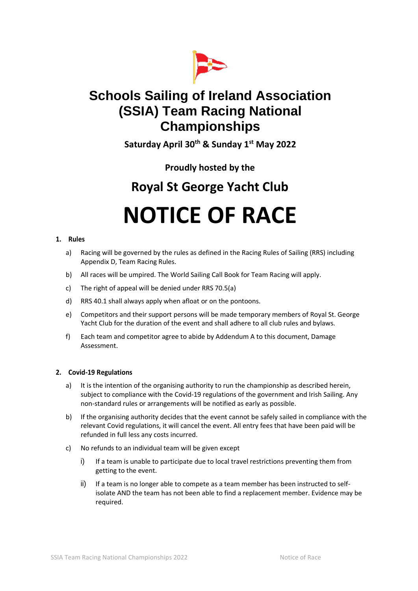

## **Schools Sailing of Ireland Association (SSIA) Team Racing National Championships**

**Saturday April 30th & Sunday 1st May 2022**

### **Proudly hosted by the**

## **Royal St George Yacht Club**

# **NOTICE OF RACE**

#### **1. Rules**

- a) Racing will be governed by the rules as defined in the Racing Rules of Sailing (RRS) including Appendix D, Team Racing Rules.
- b) All races will be umpired. The World Sailing Call Book for Team Racing will apply.
- c) The right of appeal will be denied under RRS 70.5(a)
- d) RRS 40.1 shall always apply when afloat or on the pontoons.
- e) Competitors and their support persons will be made temporary members of Royal St. George Yacht Club for the duration of the event and shall adhere to all club rules and bylaws.
- f) Each team and competitor agree to abide by Addendum A to this document, Damage Assessment.

#### **2. Covid-19 Regulations**

- a) It is the intention of the organising authority to run the championship as described herein, subject to compliance with the Covid-19 regulations of the government and Irish Sailing. Any non-standard rules or arrangements will be notified as early as possible.
- b) If the organising authority decides that the event cannot be safely sailed in compliance with the relevant Covid regulations, it will cancel the event. All entry fees that have been paid will be refunded in full less any costs incurred.
- c) No refunds to an individual team will be given except
	- i) If a team is unable to participate due to local travel restrictions preventing them from getting to the event.
	- ii) If a team is no longer able to compete as a team member has been instructed to selfisolate AND the team has not been able to find a replacement member. Evidence may be required.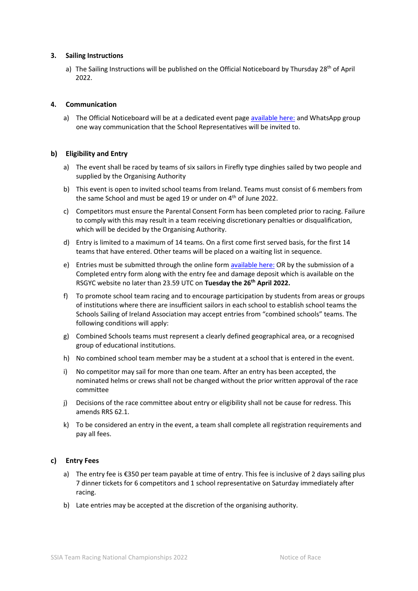#### **3. Sailing Instructions**

a) The Sailing Instructions will be published on the Official Noticeboard by Thursday 28<sup>th</sup> of April 2022.

#### **4. Communication**

a) The Official Noticeboard will be at a dedicated event page [available here:](https://www.rsgyc.ie/confirmed-sailing-events-and-regattas-2022/schools-sailing-of-ireland-association-ssia-team-racing-national-championships/) and WhatsApp group one way communication that the School Representatives will be invited to.

#### **b) Eligibility and Entry**

- a) The event shall be raced by teams of six sailors in Firefly type dinghies sailed by two people and supplied by the Organising Authority
- b) This event is open to invited school teams from Ireland. Teams must consist of 6 members from the same School and must be aged 19 or under on  $4<sup>th</sup>$  of June 2022.
- c) Competitors must ensure the Parental Consent Form has been completed prior to racing. Failure to comply with this may result in a team receiving discretionary penalties or disqualification, which will be decided by the Organising Authority.
- d) Entry is limited to a maximum of 14 teams. On a first come first served basis, for the first 14 teams that have entered. Other teams will be placed on a waiting list in sequence.
- e) Entries must be submitted through the online for[m available here:](https://www.rsgyc.ie/confirmed-sailing-events-and-regattas-2022/schools-sailing-of-ireland-association-ssia-team-racing-national-championships/) OR by the submission of a Completed entry form along with the entry fee and damage deposit which is available on the RSGYC website no later than 23.59 UTC on **Tuesday the 26th April 2022.**
- f) To promote school team racing and to encourage participation by students from areas or groups of institutions where there are insufficient sailors in each school to establish school teams the Schools Sailing of Ireland Association may accept entries from "combined schools" teams. The following conditions will apply:
- g) Combined Schools teams must represent a clearly defined geographical area, or a recognised group of educational institutions.
- h) No combined school team member may be a student at a school that is entered in the event.
- i) No competitor may sail for more than one team. After an entry has been accepted, the nominated helms or crews shall not be changed without the prior written approval of the race committee
- j) Decisions of the race committee about entry or eligibility shall not be cause for redress. This amends RRS 62.1.
- k) To be considered an entry in the event, a team shall complete all registration requirements and pay all fees.

#### **c) Entry Fees**

- a) The entry fee is €350 per team payable at time of entry. This fee is inclusive of 2 days sailing plus 7 dinner tickets for 6 competitors and 1 school representative on Saturday immediately after racing.
- b) Late entries may be accepted at the discretion of the organising authority.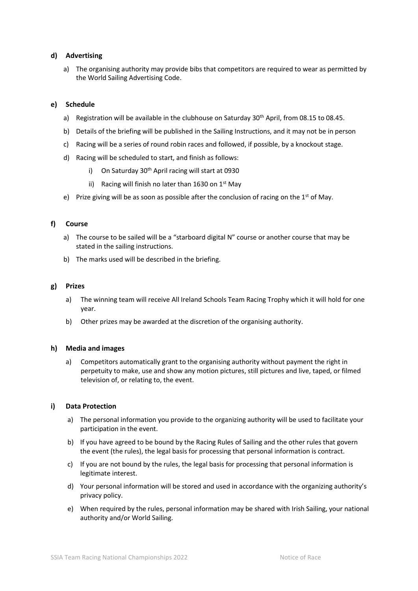#### **d) Advertising**

a) The organising authority may provide bibs that competitors are required to wear as permitted by the World Sailing Advertising Code.

#### **e) Schedule**

- a) Registration will be available in the clubhouse on Saturday 30<sup>th</sup> April, from 08.15 to 08.45.
- b) Details of the briefing will be published in the Sailing Instructions, and it may not be in person
- c) Racing will be a series of round robin races and followed, if possible, by a knockout stage.
- d) Racing will be scheduled to start, and finish as follows:
	- i) On Saturday 30<sup>th</sup> April racing will start at 0930
	- ii) Racing will finish no later than 1630 on  $1<sup>st</sup>$  May
- e) Prize giving will be as soon as possible after the conclusion of racing on the 1<sup>st</sup> of May.

#### **f) Course**

- a) The course to be sailed will be a "starboard digital N" course or another course that may be stated in the sailing instructions.
- b) The marks used will be described in the briefing.

#### **g) Prizes**

- a) The winning team will receive All Ireland Schools Team Racing Trophy which it will hold for one year.
- b) Other prizes may be awarded at the discretion of the organising authority.

#### **h) Media and images**

a) Competitors automatically grant to the organising authority without payment the right in perpetuity to make, use and show any motion pictures, still pictures and live, taped, or filmed television of, or relating to, the event.

#### **i) Data Protection**

- a) The personal information you provide to the organizing authority will be used to facilitate your participation in the event.
- b) If you have agreed to be bound by the Racing Rules of Sailing and the other rules that govern the event (the rules), the legal basis for processing that personal information is contract.
- c) If you are not bound by the rules, the legal basis for processing that personal information is legitimate interest.
- d) Your personal information will be stored and used in accordance with the organizing authority's privacy policy.
- e) When required by the rules, personal information may be shared with Irish Sailing, your national authority and/or World Sailing.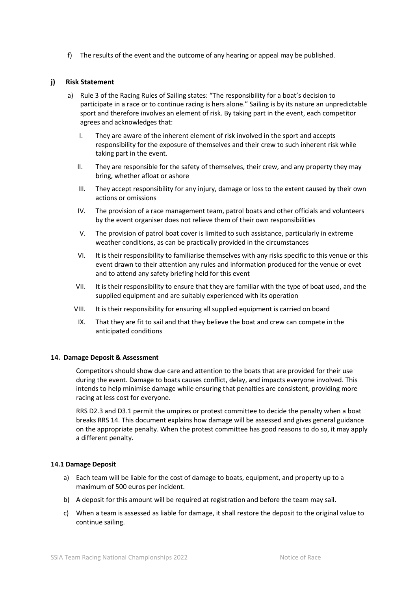f) The results of the event and the outcome of any hearing or appeal may be published.

#### **j) Risk Statement**

- a) Rule 3 of the Racing Rules of Sailing states: "The responsibility for a boat's decision to participate in a race or to continue racing is hers alone." Sailing is by its nature an unpredictable sport and therefore involves an element of risk. By taking part in the event, each competitor agrees and acknowledges that:
	- I. They are aware of the inherent element of risk involved in the sport and accepts responsibility for the exposure of themselves and their crew to such inherent risk while taking part in the event.
	- II. They are responsible for the safety of themselves, their crew, and any property they may bring, whether afloat or ashore
	- III. They accept responsibility for any injury, damage or loss to the extent caused by their own actions or omissions
	- IV. The provision of a race management team, patrol boats and other officials and volunteers by the event organiser does not relieve them of their own responsibilities
	- V. The provision of patrol boat cover is limited to such assistance, particularly in extreme weather conditions, as can be practically provided in the circumstances
	- VI. It is their responsibility to familiarise themselves with any risks specific to this venue or this event drawn to their attention any rules and information produced for the venue or evet and to attend any safety briefing held for this event
	- VII. It is their responsibility to ensure that they are familiar with the type of boat used, and the supplied equipment and are suitably experienced with its operation
	- VIII. It is their responsibility for ensuring all supplied equipment is carried on board
	- IX. That they are fit to sail and that they believe the boat and crew can compete in the anticipated conditions

#### **14. Damage Deposit & Assessment**

Competitors should show due care and attention to the boats that are provided for their use during the event. Damage to boats causes conflict, delay, and impacts everyone involved. This intends to help minimise damage while ensuring that penalties are consistent, providing more racing at less cost for everyone.

RRS D2.3 and D3.1 permit the umpires or protest committee to decide the penalty when a boat breaks RRS 14. This document explains how damage will be assessed and gives general guidance on the appropriate penalty. When the protest committee has good reasons to do so, it may apply a different penalty.

#### **14.1 Damage Deposit**

- a) Each team will be liable for the cost of damage to boats, equipment, and property up to a maximum of 500 euros per incident.
- b) A deposit for this amount will be required at registration and before the team may sail.
- c) When a team is assessed as liable for damage, it shall restore the deposit to the original value to continue sailing.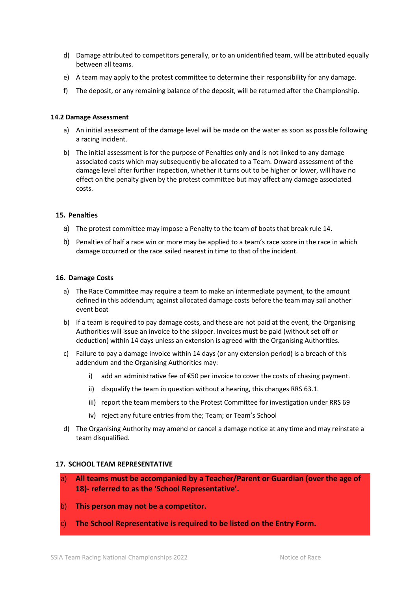- d) Damage attributed to competitors generally, or to an unidentified team, will be attributed equally between all teams.
- e) A team may apply to the protest committee to determine their responsibility for any damage.
- f) The deposit, or any remaining balance of the deposit, will be returned after the Championship.

#### **14.2 Damage Assessment**

- a) An initial assessment of the damage level will be made on the water as soon as possible following a racing incident.
- b) The initial assessment is for the purpose of Penalties only and is not linked to any damage associated costs which may subsequently be allocated to a Team. Onward assessment of the damage level after further inspection, whether it turns out to be higher or lower, will have no effect on the penalty given by the protest committee but may affect any damage associated costs.

#### **15. Penalties**

- a) The protest committee may impose a Penalty to the team of boats that break rule 14.
- b) Penalties of half a race win or more may be applied to a team's race score in the race in which damage occurred or the race sailed nearest in time to that of the incident.

#### **16. Damage Costs**

- a) The Race Committee may require a team to make an intermediate payment, to the amount defined in this addendum; against allocated damage costs before the team may sail another event boat
- b) If a team is required to pay damage costs, and these are not paid at the event, the Organising Authorities will issue an invoice to the skipper. Invoices must be paid (without set off or deduction) within 14 days unless an extension is agreed with the Organising Authorities.
- c) Failure to pay a damage invoice within 14 days (or any extension period) is a breach of this addendum and the Organising Authorities may:
	- i) add an administrative fee of  $\epsilon$ 50 per invoice to cover the costs of chasing payment.
	- ii) disqualify the team in question without a hearing, this changes RRS 63.1.
	- iii) report the team members to the Protest Committee for investigation under RRS 69
	- iv) reject any future entries from the; Team; or Team's School
- d) The Organising Authority may amend or cancel a damage notice at any time and may reinstate a team disqualified.

#### **17. SCHOOL TEAM REPRESENTATIVE**

- a) **All teams must be accompanied by a Teacher/Parent or Guardian (over the age of 18)- referred to as the 'School Representative'.**
- b) **This person may not be a competitor.**
- c) **The School Representative is required to be listed on the Entry Form.**